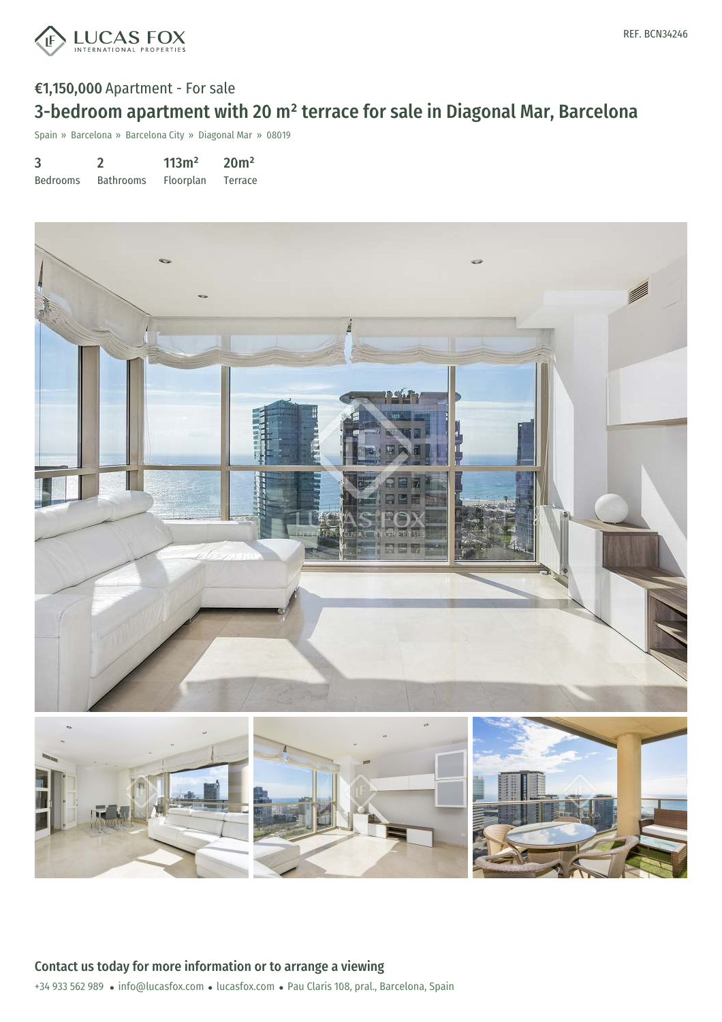

## €1,150,000 Apartment - For sale 3-bedroom apartment with 20 m² terrace for sale in Diagonal Mar, Barcelona

Spain » Barcelona » Barcelona City » Diagonal Mar » 08019

| 3               |                  | 113m <sup>2</sup> | 20 <sup>m²</sup> |
|-----------------|------------------|-------------------|------------------|
| <b>Bedrooms</b> | <b>Bathrooms</b> | Floorplan         | <b>Terrace</b>   |

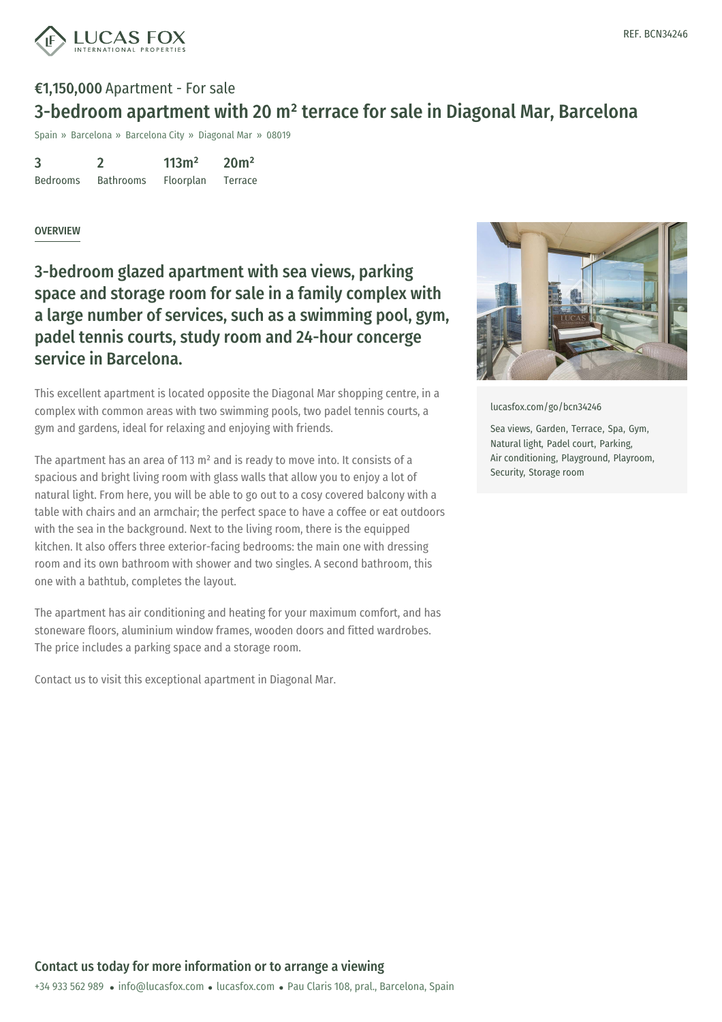



## €1,150,000 Apartment - For sale 3-bedroom apartment with 20 m² terrace for sale in Diagonal Mar, Barcelona

Spain » Barcelona » Barcelona City » Diagonal Mar » 08019

| 3               |                  | 113m <sup>2</sup> | 20 <sup>m²</sup> |
|-----------------|------------------|-------------------|------------------|
| <b>Bedrooms</b> | <b>Bathrooms</b> | Floorplan         | Terrace          |

## **OVERVIEW**

3-bedroom glazed apartment with sea views, parking space and storage room for sale in a family complex with a large number of services, such as a swimming pool, gym, padel tennis courts, study room and 24-hour concerge service in Barcelona.

This excellent apartment is located opposite the Diagonal Mar shopping centre, in a complex with common areas with two swimming pools, two padel tennis courts, a gym and gardens, ideal for relaxing and enjoying with friends.

The apartment has an area of 113 m² and is ready to move into. It consists of a spacious and bright living room with glass walls that allow you to enjoy a lot of natural light. From here, you will be able to go out to a cosy covered balcony with a table with chairs and an armchair; the perfect space to have a coffee or eat outdoors with the sea in the background. Next to the living room, there is the equipped kitchen. It also offers three exterior-facing bedrooms: the main one with dressing room and its own bathroom with shower and two singles. A second bathroom, this one with a bathtub, completes the layout.

The apartment has air conditioning and heating for your maximum comfort, and has stoneware floors, aluminium window frames, wooden doors and fitted wardrobes. The price includes a parking space and a storage room.

Contact us to visit this exceptional apartment in Diagonal Mar.



[lucasfox.com/go/bcn34246](https://www.lucasfox.com/go/bcn34246)

Sea views, Garden, Terrace, Spa, Gym, Natural light, Padel court, Parking, Air conditioning, Playground, Playroom, Security, Storage room